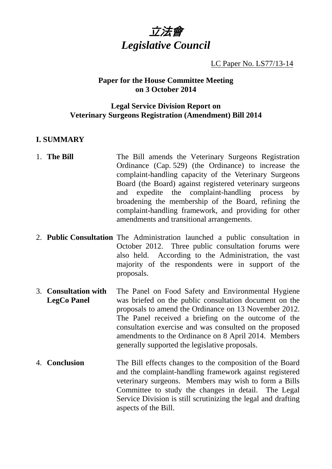

LC Paper No. LS77/13-14

### **Paper for the House Committee Meeting on 3 October 2014**

## **Legal Service Division Report on Veterinary Surgeons Registration (Amendment) Bill 2014**

## **I. SUMMARY**

- 1. **The Bill** The Bill amends the Veterinary Surgeons Registration Ordinance (Cap. 529) (the Ordinance) to increase the complaint-handling capacity of the Veterinary Surgeons Board (the Board) against registered veterinary surgeons and expedite the complaint-handling process by broadening the membership of the Board, refining the complaint-handling framework, and providing for other amendments and transitional arrangements.
- 2. **Public Consultation** The Administration launched a public consultation in October 2012. Three public consultation forums were also held. According to the Administration, the vast majority of the respondents were in support of the proposals.
- 3. **Consultation with LegCo Panel** The Panel on Food Safety and Environmental Hygiene was briefed on the public consultation document on the proposals to amend the Ordinance on 13 November 2012. The Panel received a briefing on the outcome of the consultation exercise and was consulted on the proposed amendments to the Ordinance on 8 April 2014. Members generally supported the legislative proposals.
- 4. **Conclusion** The Bill effects changes to the composition of the Board and the complaint-handling framework against registered veterinary surgeons. Members may wish to form a Bills Committee to study the changes in detail. The Legal Service Division is still scrutinizing the legal and drafting aspects of the Bill.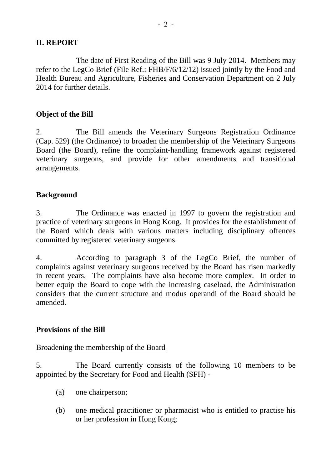## **II. REPORT**

The date of First Reading of the Bill was 9 July 2014. Members may refer to the LegCo Brief (File Ref.: FHB/F/6/12/12) issued jointly by the Food and Health Bureau and Agriculture, Fisheries and Conservation Department on 2 July 2014 for further details.

## **Object of the Bill**

2. The Bill amends the Veterinary Surgeons Registration Ordinance (Cap. 529) (the Ordinance) to broaden the membership of the Veterinary Surgeons Board (the Board), refine the complaint-handling framework against registered veterinary surgeons, and provide for other amendments and transitional arrangements.

## **Background**

3. The Ordinance was enacted in 1997 to govern the registration and practice of veterinary surgeons in Hong Kong. It provides for the establishment of the Board which deals with various matters including disciplinary offences committed by registered veterinary surgeons.

4. According to paragraph 3 of the LegCo Brief, the number of complaints against veterinary surgeons received by the Board has risen markedly in recent years. The complaints have also become more complex. In order to better equip the Board to cope with the increasing caseload, the Administration considers that the current structure and modus operandi of the Board should be amended.

# **Provisions of the Bill**

## Broadening the membership of the Board

5. The Board currently consists of the following 10 members to be appointed by the Secretary for Food and Health (SFH) -

- (a) one chairperson;
- (b) one medical practitioner or pharmacist who is entitled to practise his or her profession in Hong Kong;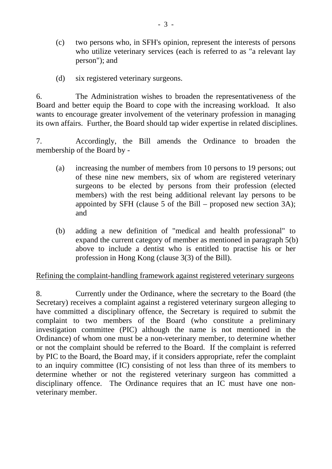- (c) two persons who, in SFH's opinion, represent the interests of persons who utilize veterinary services (each is referred to as "a relevant lay person"); and
- (d) six registered veterinary surgeons.

6. The Administration wishes to broaden the representativeness of the Board and better equip the Board to cope with the increasing workload. It also wants to encourage greater involvement of the veterinary profession in managing its own affairs. Further, the Board should tap wider expertise in related disciplines.

7. Accordingly, the Bill amends the Ordinance to broaden the membership of the Board by -

- (a) increasing the number of members from 10 persons to 19 persons; out of these nine new members, six of whom are registered veterinary surgeons to be elected by persons from their profession (elected members) with the rest being additional relevant lay persons to be appointed by SFH (clause 5 of the Bill – proposed new section 3A); and
- (b) adding a new definition of "medical and health professional" to expand the current category of member as mentioned in paragraph 5(b) above to include a dentist who is entitled to practise his or her profession in Hong Kong (clause 3(3) of the Bill).

#### Refining the complaint-handling framework against registered veterinary surgeons

8. Currently under the Ordinance, where the secretary to the Board (the Secretary) receives a complaint against a registered veterinary surgeon alleging to have committed a disciplinary offence, the Secretary is required to submit the complaint to two members of the Board (who constitute a preliminary investigation committee (PIC) although the name is not mentioned in the Ordinance) of whom one must be a non-veterinary member, to determine whether or not the complaint should be referred to the Board. If the complaint is referred by PIC to the Board, the Board may, if it considers appropriate, refer the complaint to an inquiry committee (IC) consisting of not less than three of its members to determine whether or not the registered veterinary surgeon has committed a disciplinary offence. The Ordinance requires that an IC must have one nonveterinary member.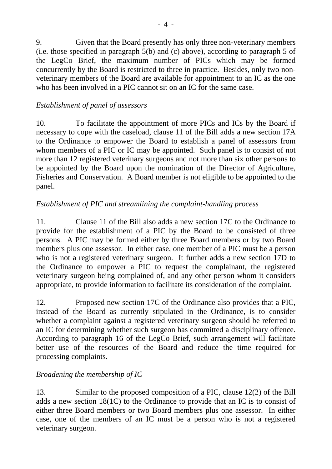9. Given that the Board presently has only three non-veterinary members (i.e. those specified in paragraph 5(b) and (c) above), according to paragraph 5 of the LegCo Brief, the maximum number of PICs which may be formed concurrently by the Board is restricted to three in practice. Besides, only two nonveterinary members of the Board are available for appointment to an IC as the one who has been involved in a PIC cannot sit on an IC for the same case.

# *Establishment of panel of assessors*

10. To facilitate the appointment of more PICs and ICs by the Board if necessary to cope with the caseload, clause 11 of the Bill adds a new section 17A to the Ordinance to empower the Board to establish a panel of assessors from whom members of a PIC or IC may be appointed. Such panel is to consist of not more than 12 registered veterinary surgeons and not more than six other persons to be appointed by the Board upon the nomination of the Director of Agriculture, Fisheries and Conservation. A Board member is not eligible to be appointed to the panel.

# *Establishment of PIC and streamlining the complaint-handling process*

11. Clause 11 of the Bill also adds a new section 17C to the Ordinance to provide for the establishment of a PIC by the Board to be consisted of three persons. A PIC may be formed either by three Board members or by two Board members plus one assessor. In either case, one member of a PIC must be a person who is not a registered veterinary surgeon. It further adds a new section 17D to the Ordinance to empower a PIC to request the complainant, the registered veterinary surgeon being complained of, and any other person whom it considers appropriate, to provide information to facilitate its consideration of the complaint.

12. Proposed new section 17C of the Ordinance also provides that a PIC, instead of the Board as currently stipulated in the Ordinance, is to consider whether a complaint against a registered veterinary surgeon should be referred to an IC for determining whether such surgeon has committed a disciplinary offence. According to paragraph 16 of the LegCo Brief, such arrangement will facilitate better use of the resources of the Board and reduce the time required for processing complaints.

# *Broadening the membership of IC*

13. Similar to the proposed composition of a PIC, clause 12(2) of the Bill adds a new section 18(1C) to the Ordinance to provide that an IC is to consist of either three Board members or two Board members plus one assessor. In either case, one of the members of an IC must be a person who is not a registered veterinary surgeon.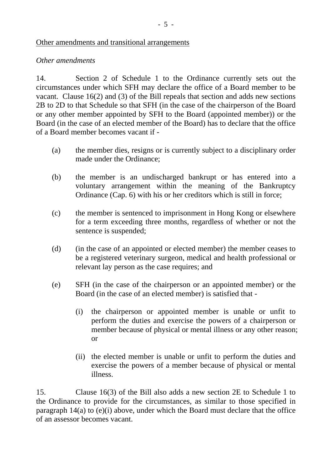#### Other amendments and transitional arrangements

#### *Other amendments*

14. Section 2 of Schedule 1 to the Ordinance currently sets out the circumstances under which SFH may declare the office of a Board member to be vacant. Clause 16(2) and (3) of the Bill repeals that section and adds new sections 2B to 2D to that Schedule so that SFH (in the case of the chairperson of the Board or any other member appointed by SFH to the Board (appointed member)) or the Board (in the case of an elected member of the Board) has to declare that the office of a Board member becomes vacant if -

- (a) the member dies, resigns or is currently subject to a disciplinary order made under the Ordinance;
- (b) the member is an undischarged bankrupt or has entered into a voluntary arrangement within the meaning of the Bankruptcy Ordinance (Cap. 6) with his or her creditors which is still in force;
- (c) the member is sentenced to imprisonment in Hong Kong or elsewhere for a term exceeding three months, regardless of whether or not the sentence is suspended;
- (d) (in the case of an appointed or elected member) the member ceases to be a registered veterinary surgeon, medical and health professional or relevant lay person as the case requires; and
- (e) SFH (in the case of the chairperson or an appointed member) or the Board (in the case of an elected member) is satisfied that -
	- (i) the chairperson or appointed member is unable or unfit to perform the duties and exercise the powers of a chairperson or member because of physical or mental illness or any other reason; or
	- (ii) the elected member is unable or unfit to perform the duties and exercise the powers of a member because of physical or mental illness.

15. Clause 16(3) of the Bill also adds a new section 2E to Schedule 1 to the Ordinance to provide for the circumstances, as similar to those specified in paragraph 14(a) to (e)(i) above, under which the Board must declare that the office of an assessor becomes vacant.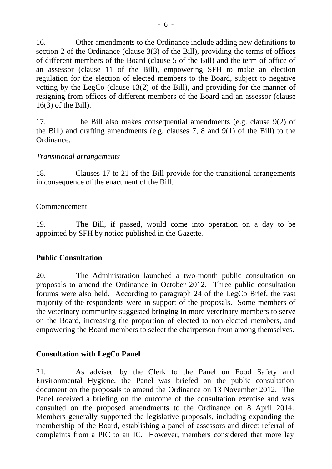16. Other amendments to the Ordinance include adding new definitions to section 2 of the Ordinance (clause 3(3) of the Bill), providing the terms of offices of different members of the Board (clause 5 of the Bill) and the term of office of an assessor (clause 11 of the Bill), empowering SFH to make an election regulation for the election of elected members to the Board, subject to negative vetting by the LegCo (clause 13(2) of the Bill), and providing for the manner of resigning from offices of different members of the Board and an assessor (clause 16(3) of the Bill).

17. The Bill also makes consequential amendments (e.g. clause 9(2) of the Bill) and drafting amendments (e.g. clauses 7, 8 and 9(1) of the Bill) to the Ordinance.

## *Transitional arrangements*

18. Clauses 17 to 21 of the Bill provide for the transitional arrangements in consequence of the enactment of the Bill.

#### Commencement

19. The Bill, if passed, would come into operation on a day to be appointed by SFH by notice published in the Gazette.

## **Public Consultation**

20. The Administration launched a two-month public consultation on proposals to amend the Ordinance in October 2012. Three public consultation forums were also held. According to paragraph 24 of the LegCo Brief, the vast majority of the respondents were in support of the proposals. Some members of the veterinary community suggested bringing in more veterinary members to serve on the Board, increasing the proportion of elected to non-elected members, and empowering the Board members to select the chairperson from among themselves.

## **Consultation with LegCo Panel**

21. As advised by the Clerk to the Panel on Food Safety and Environmental Hygiene, the Panel was briefed on the public consultation document on the proposals to amend the Ordinance on 13 November 2012. The Panel received a briefing on the outcome of the consultation exercise and was consulted on the proposed amendments to the Ordinance on 8 April 2014. Members generally supported the legislative proposals, including expanding the membership of the Board, establishing a panel of assessors and direct referral of complaints from a PIC to an IC. However, members considered that more lay